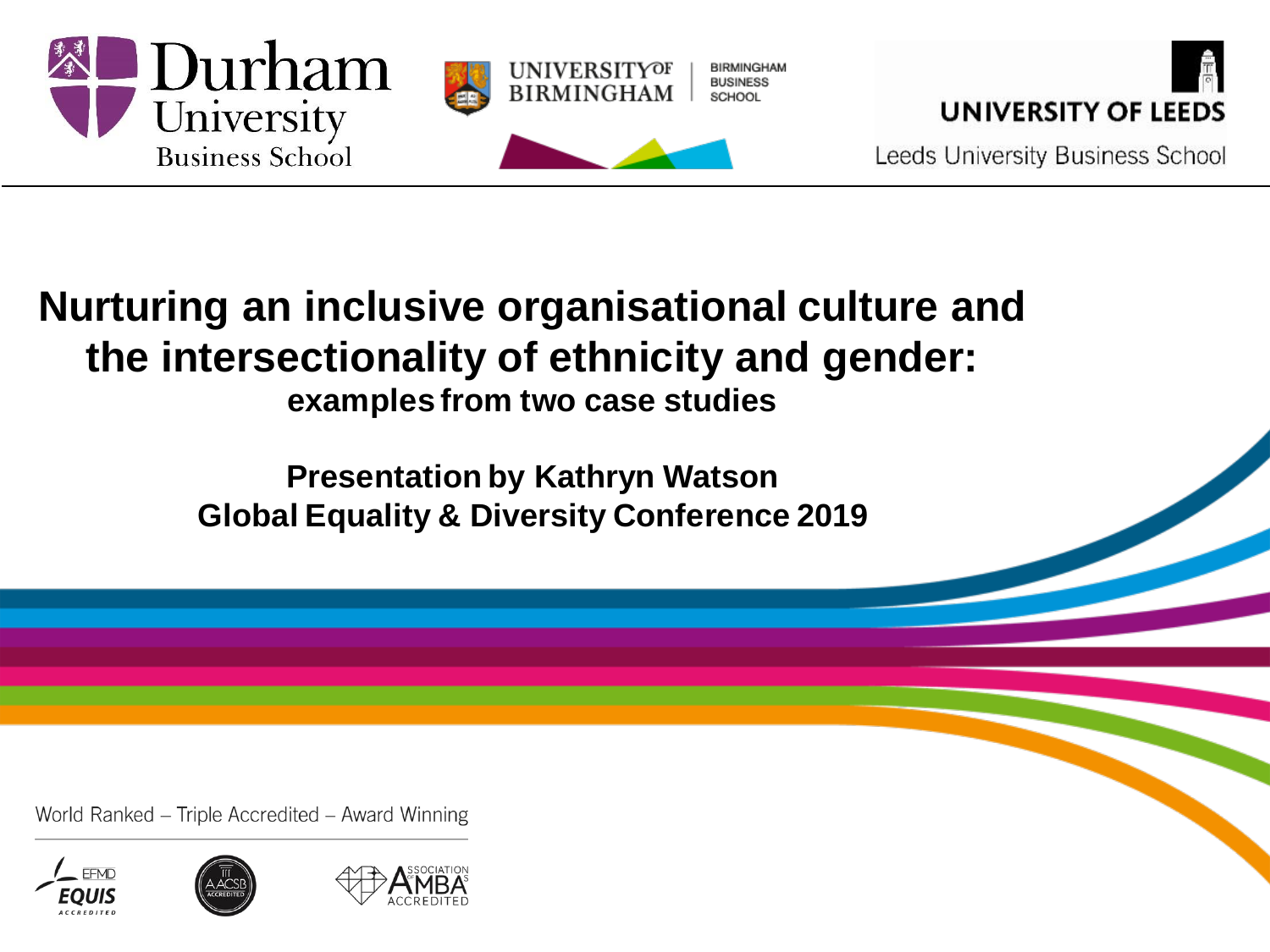



Leeds University Business School

#### **Nurturing an inclusive organisational culture and the intersectionality of ethnicity and gender: examples from two case studies**

**Presentation by Kathryn Watson Global Equality & Diversity Conference 2019** 



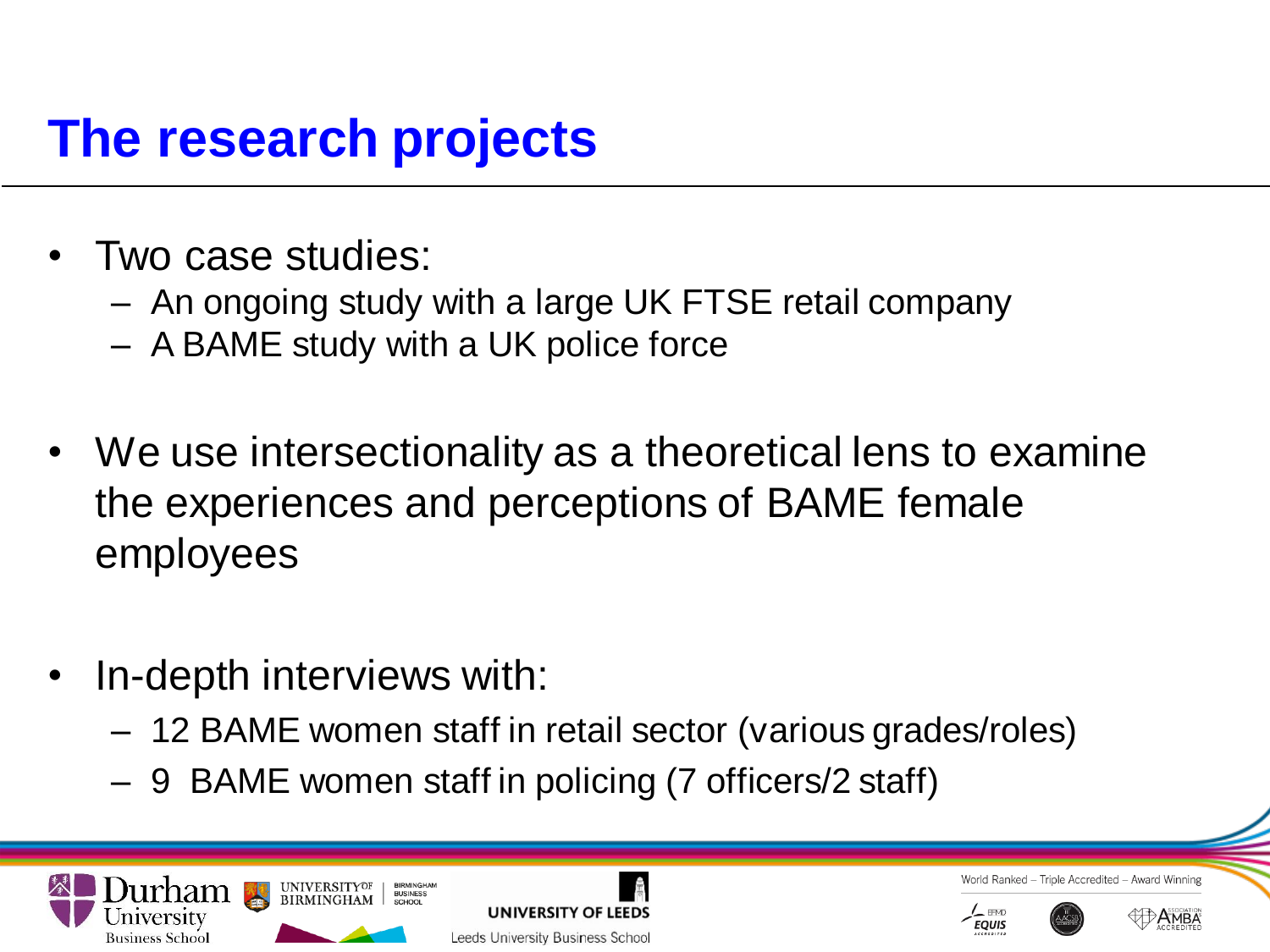# **The research projects**

- Two case studies:
	- An ongoing study with a large UK FTSE retail company
	- A BAME study with a UK police force
- We use intersectionality as a theoretical lens to examine the experiences and perceptions of BAME female employees
- In-depth interviews with:
	- 12 BAME women staff in retail sector (various grades/roles)
	- 9 BAME women staff in policing (7 officers/2 staff)









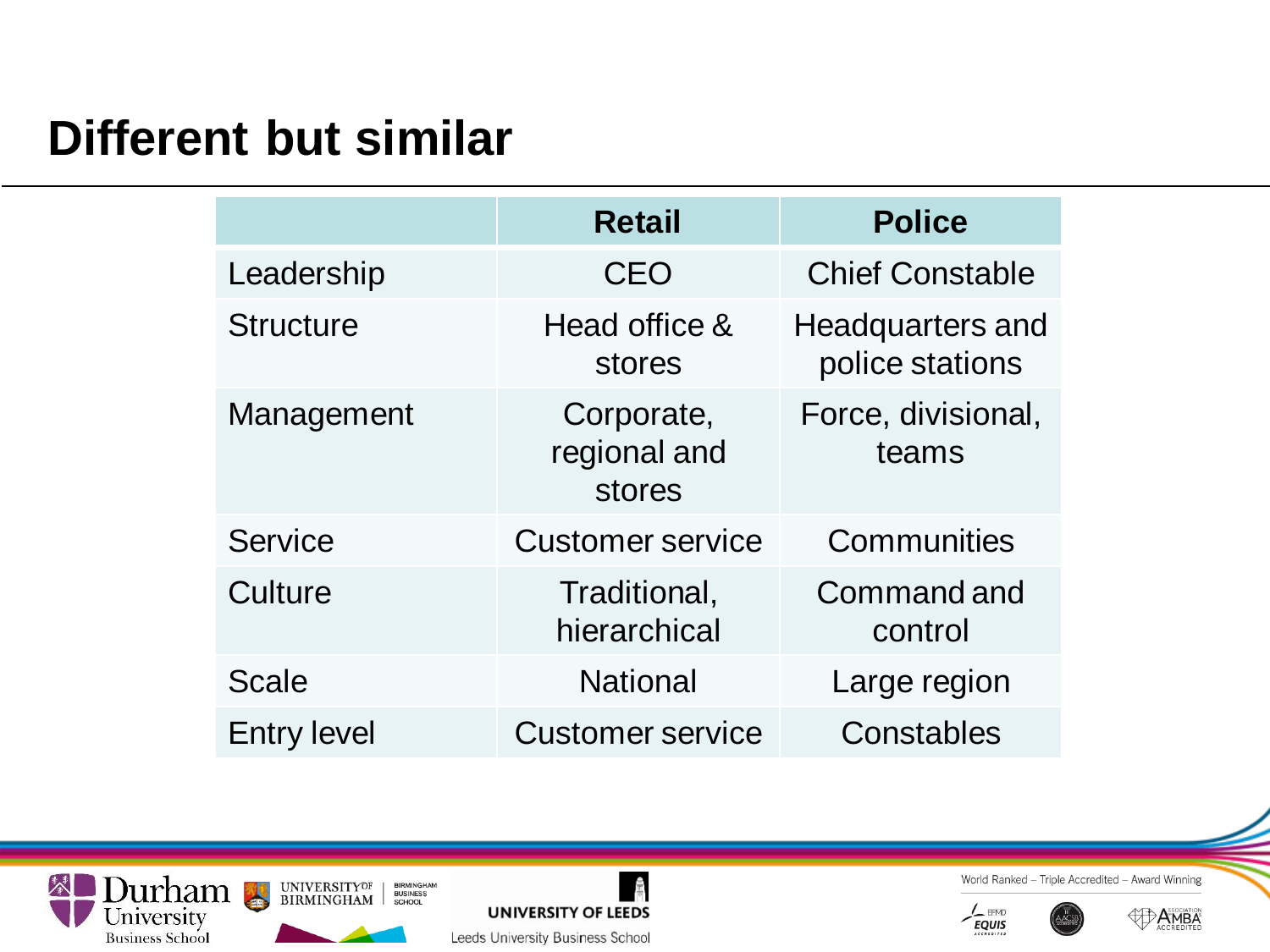### **Different but similar**

|                    | <b>Retail</b>                        | <b>Police</b>                              |
|--------------------|--------------------------------------|--------------------------------------------|
| Leadership         | CEO                                  | <b>Chief Constable</b>                     |
| <b>Structure</b>   | Head office &<br>stores              | <b>Headquarters and</b><br>police stations |
| Management         | Corporate,<br>regional and<br>stores | Force, divisional,<br>teams                |
| Service            | <b>Customer service</b>              | Communities                                |
| Culture            | Traditional,<br>hierarchical         | Command and<br>control                     |
| <b>Scale</b>       | <b>National</b>                      | Large region                               |
| <b>Entry level</b> | <b>Customer service</b>              | Constables                                 |





World Ranked - Triple Accredited - Award Winning



**AD AMBA**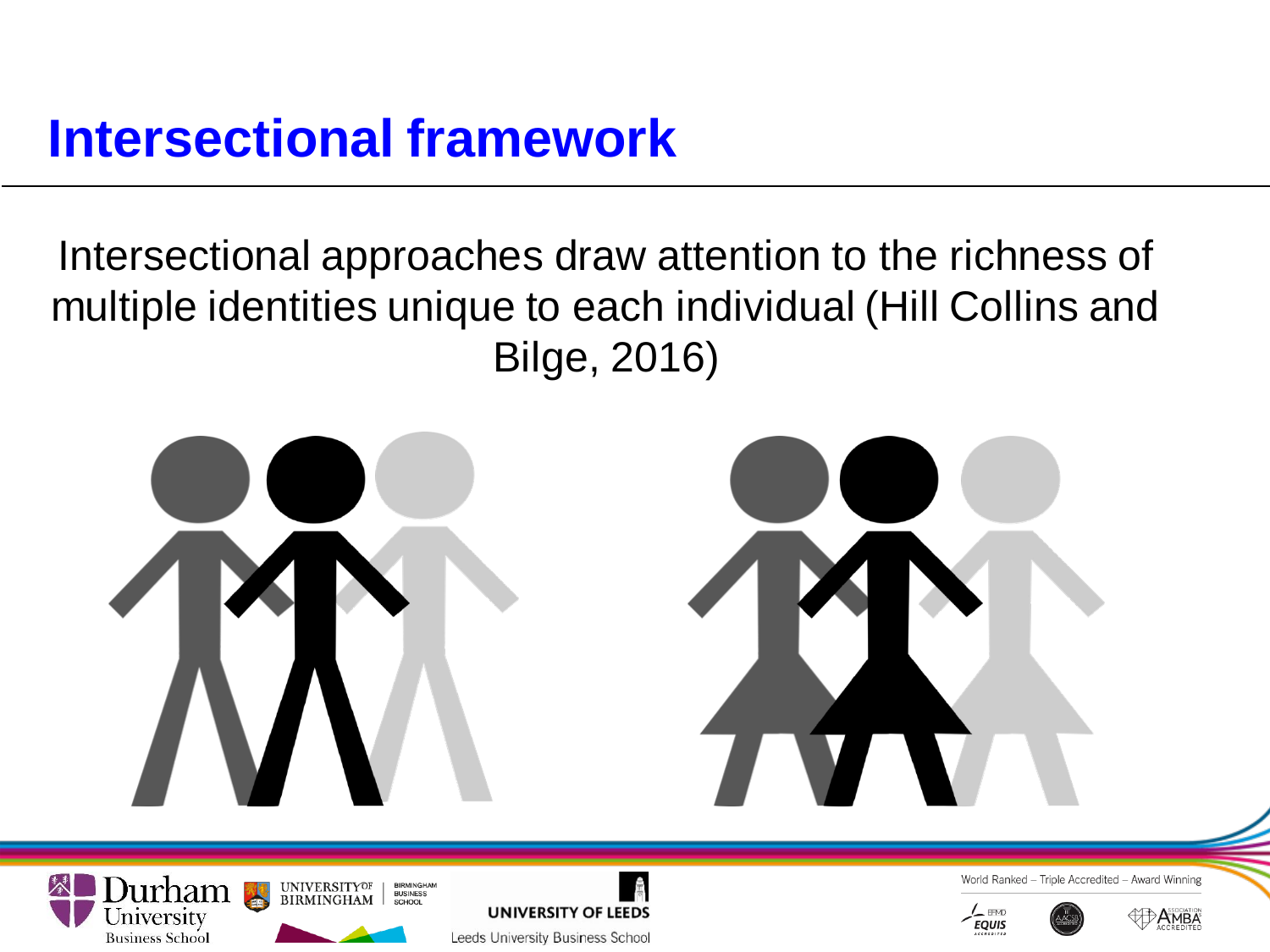## **Intersectional framework**

Intersectional approaches draw attention to the richness of multiple identities unique to each individual (Hill Collins and Bilge, 2016)







Leeds University Business School

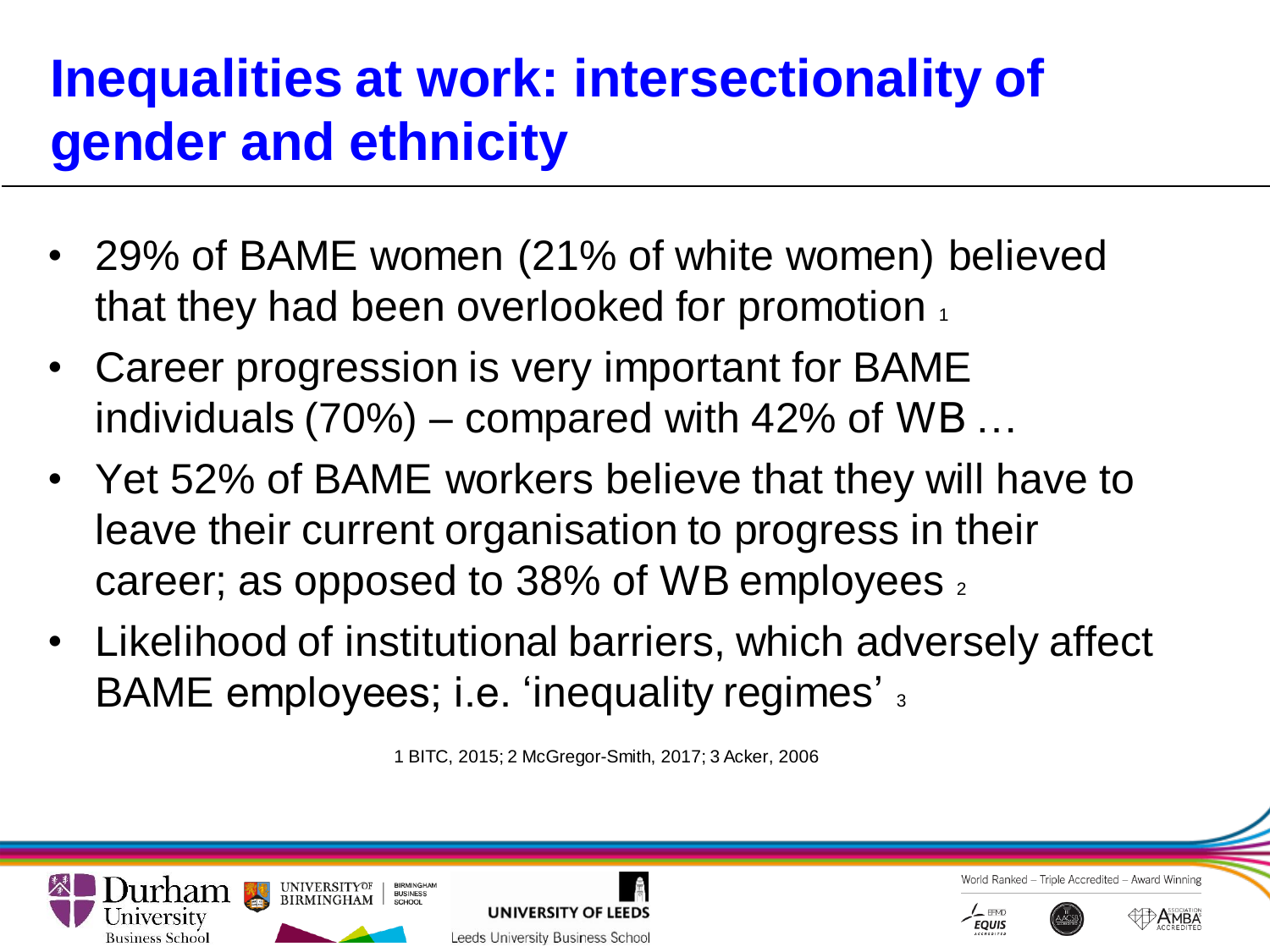# **Inequalities at work: intersectionality of gender and ethnicity**

- 29% of BAME women (21% of white women) believed that they had been overlooked for promotion  $_1$
- Career progression is very important for BAME individuals (70%) – compared with 42% of WB …
- Yet 52% of BAME workers believe that they will have to leave their current organisation to progress in their career; as opposed to 38% of WB employees  $_2$
- Likelihood of institutional barriers, which adversely affect BAME employees; i.e. 'inequality regimes' 3

1 BITC, 2015; 2 McGregor-Smith, 2017; 3 Acker, 2006

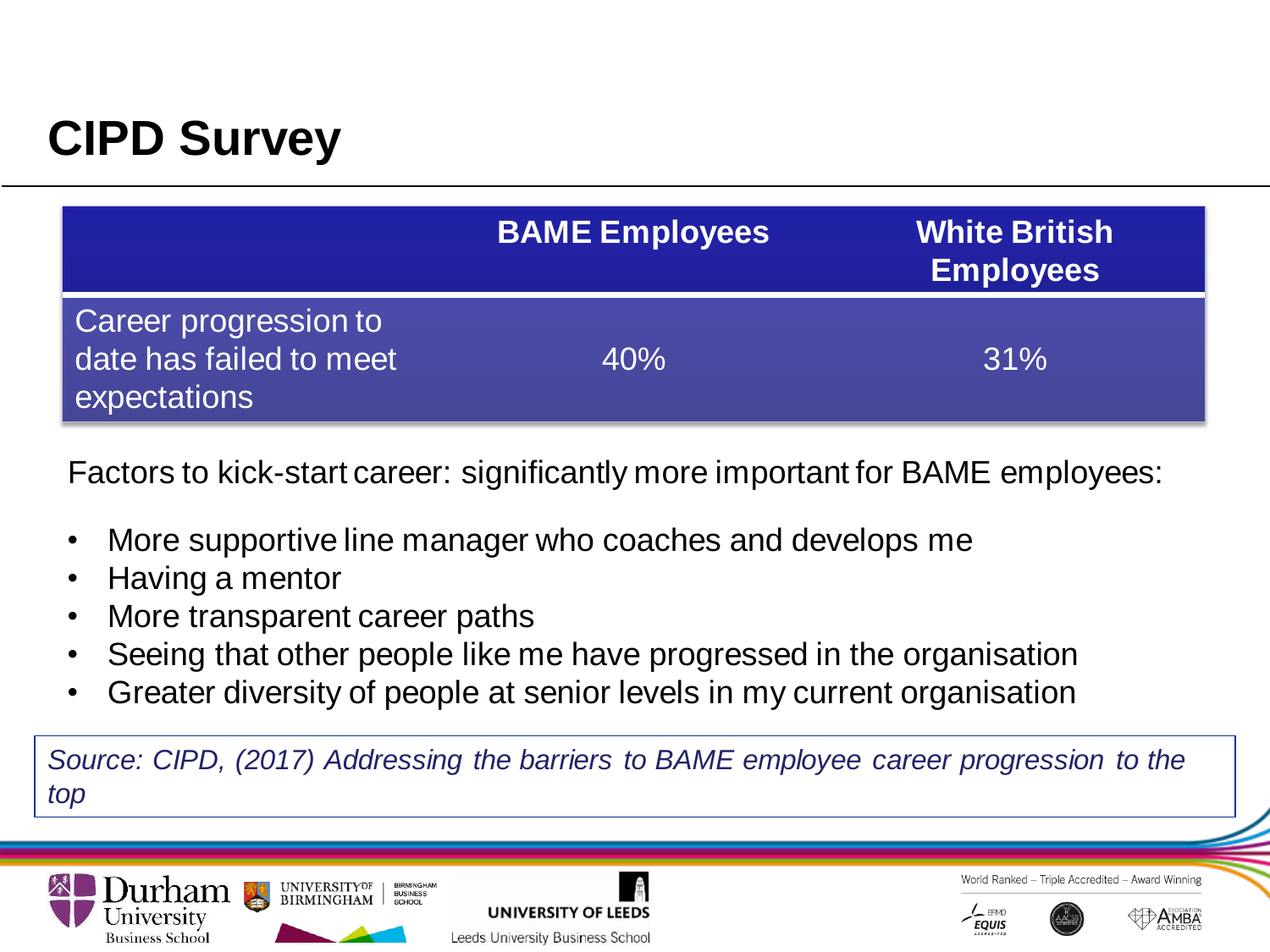## **CIPD Survey**

|                                                                  | <b>BAME Employees</b> | <b>White British</b><br><b>Employees</b> |
|------------------------------------------------------------------|-----------------------|------------------------------------------|
| Career progression to<br>date has failed to meet<br>expectations | 40%                   | 31%                                      |

Factors to kick-start career: significantly more important for BAME employees:

- More supportive line manager who coaches and develops me
- Having a mentor
- More transparent career paths

**RUSINESS** 

- Seeing that other people like me have progressed in the organisation
- Greater diversity of people at senior levels in my current organisation

*Source: CIPD, (2017) Addressing the barriers to BAME employee career progression to the top*









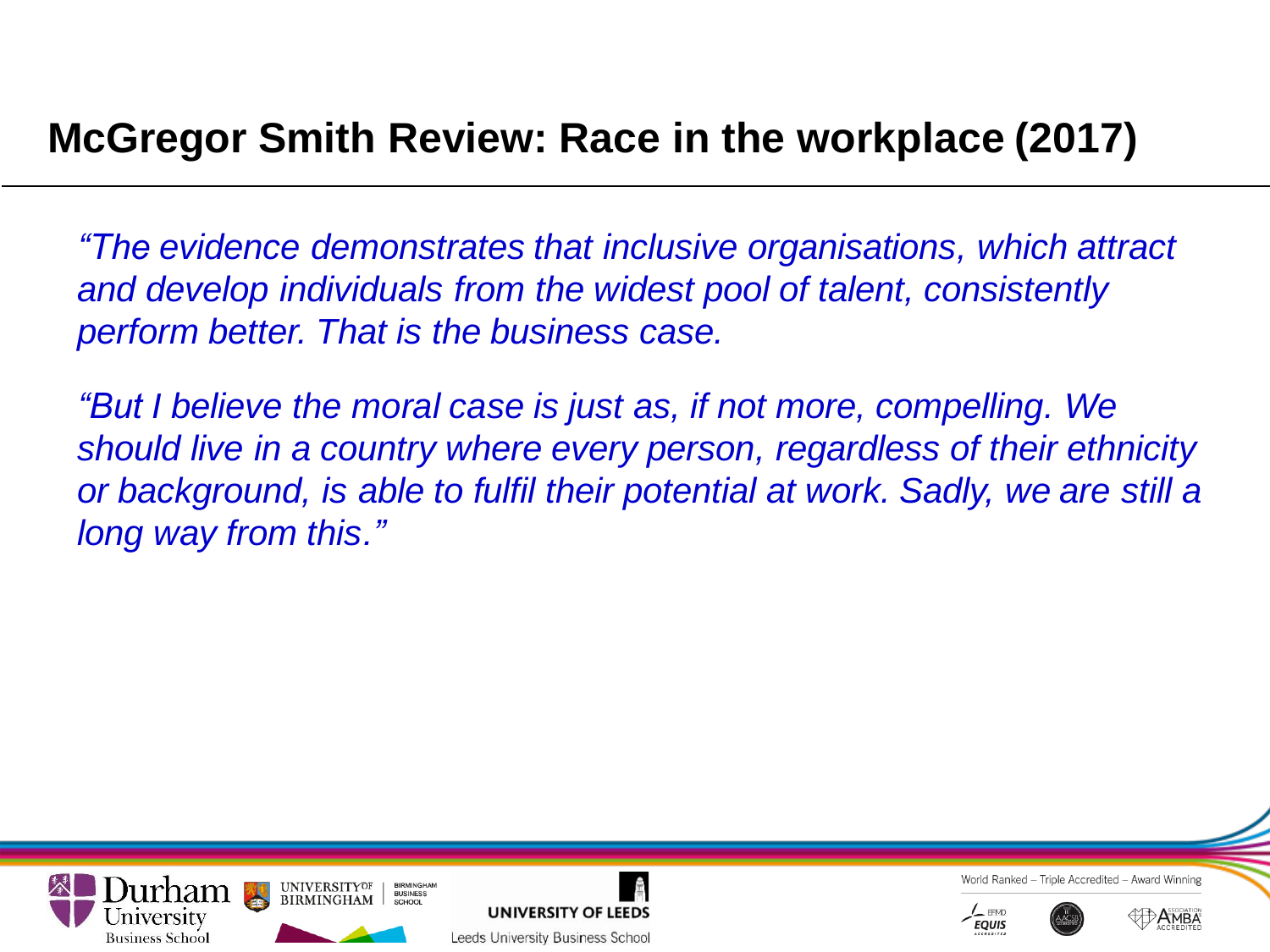### **McGregor Smith Review: Race in the workplace (2017)**

*"The evidence demonstrates that inclusive organisations, which attract and develop individuals from the widest pool of talent, consistently perform better. That is the business case.* 

*"But I believe the moral case is just as, if not more, compelling. We should live in a country where every person, regardless of their ethnicity or background, is able to fulfil their potential at work. Sadly, we are still a long way from this."*





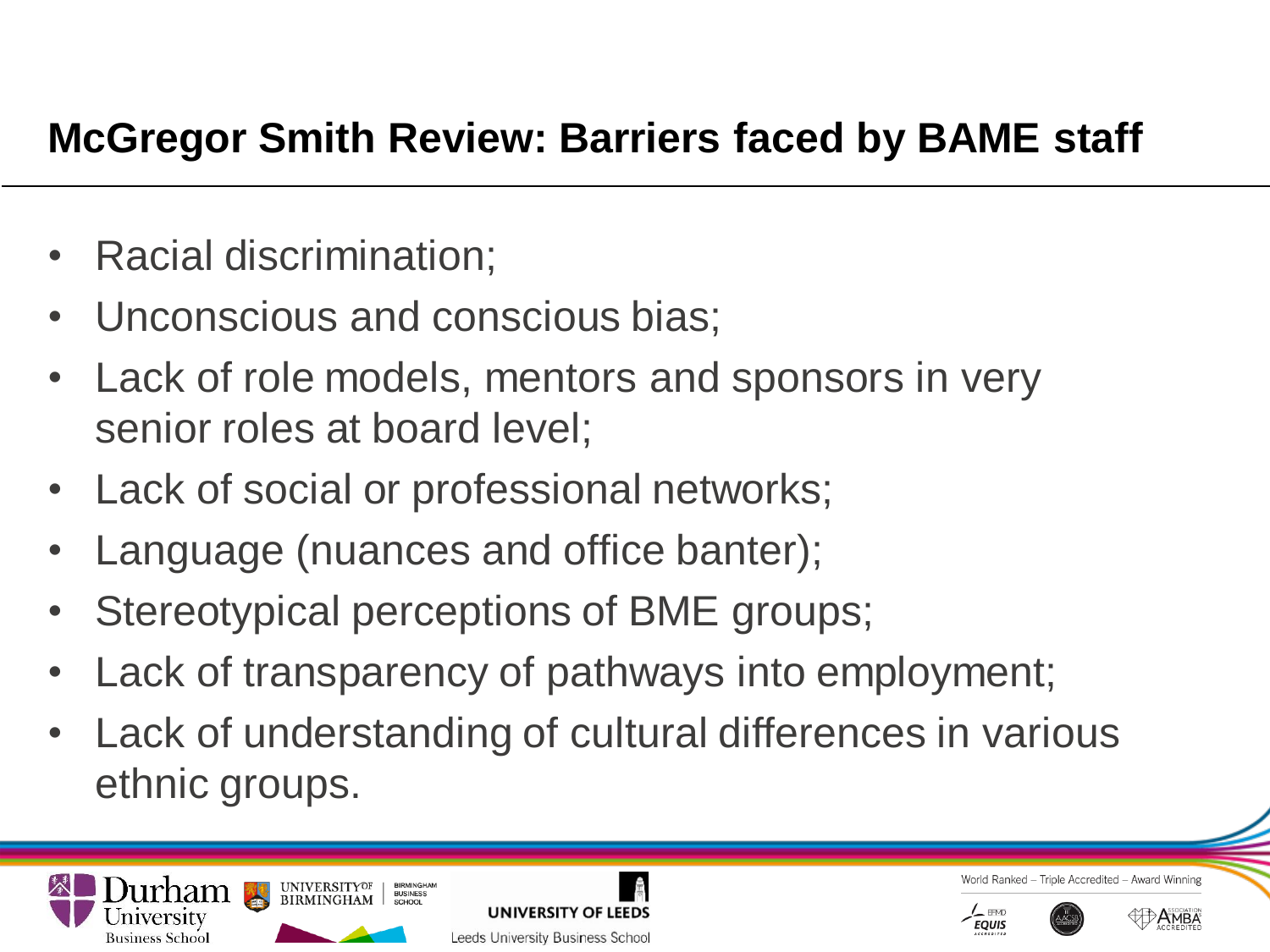### **McGregor Smith Review: Barriers faced by BAME staff**

- Racial discrimination;
- Unconscious and conscious bias;
- Lack of role models, mentors and sponsors in very senior roles at board level;
- Lack of social or professional networks;
- Language (nuances and office banter);
- Stereotypical perceptions of BME groups;
- Lack of transparency of pathways into employment;
- Lack of understanding of cultural differences in various ethnic groups.





- Triple Accredited - Award Winning World Ranked



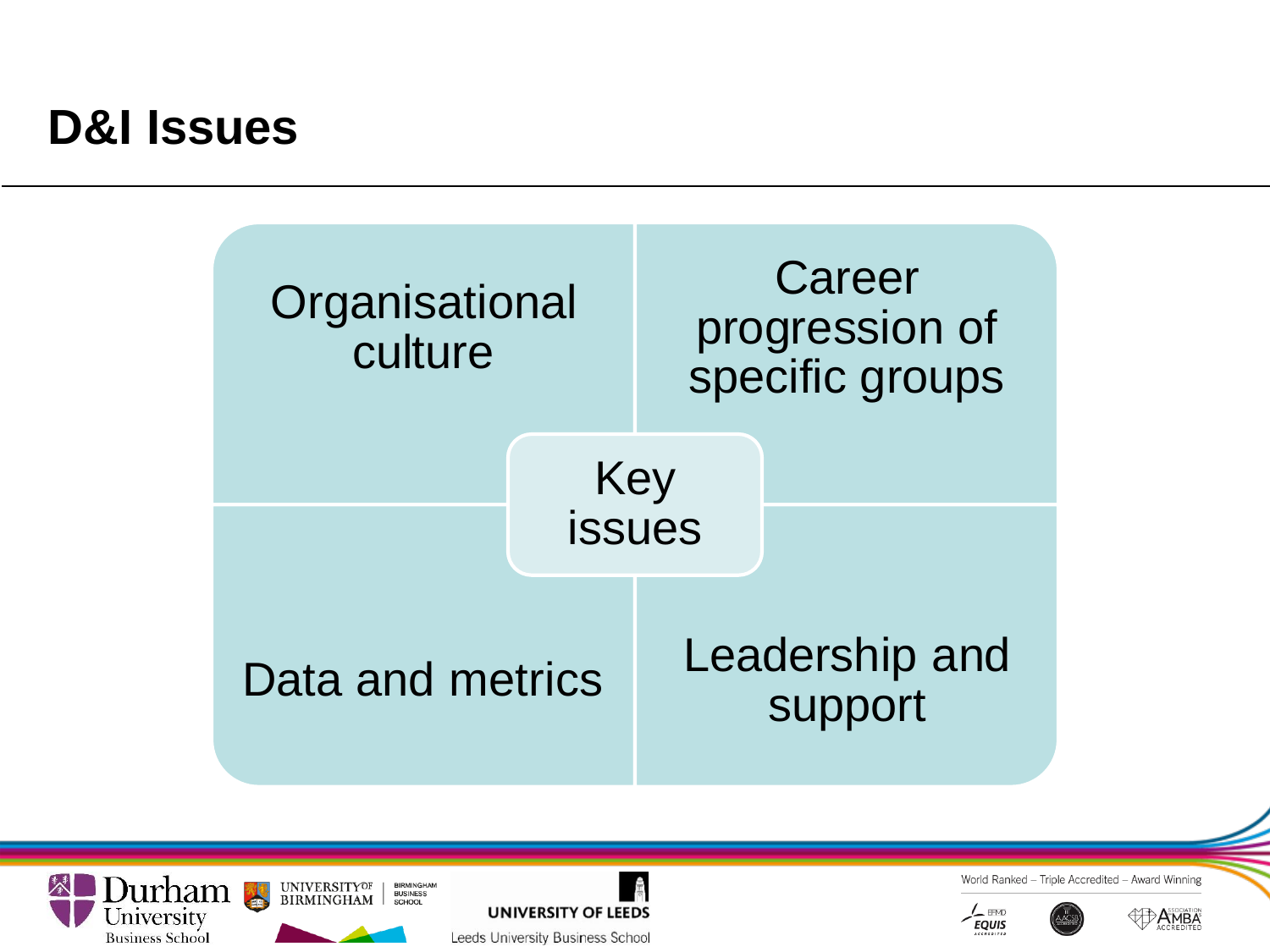### **D&I Issues**







Leeds University Business School



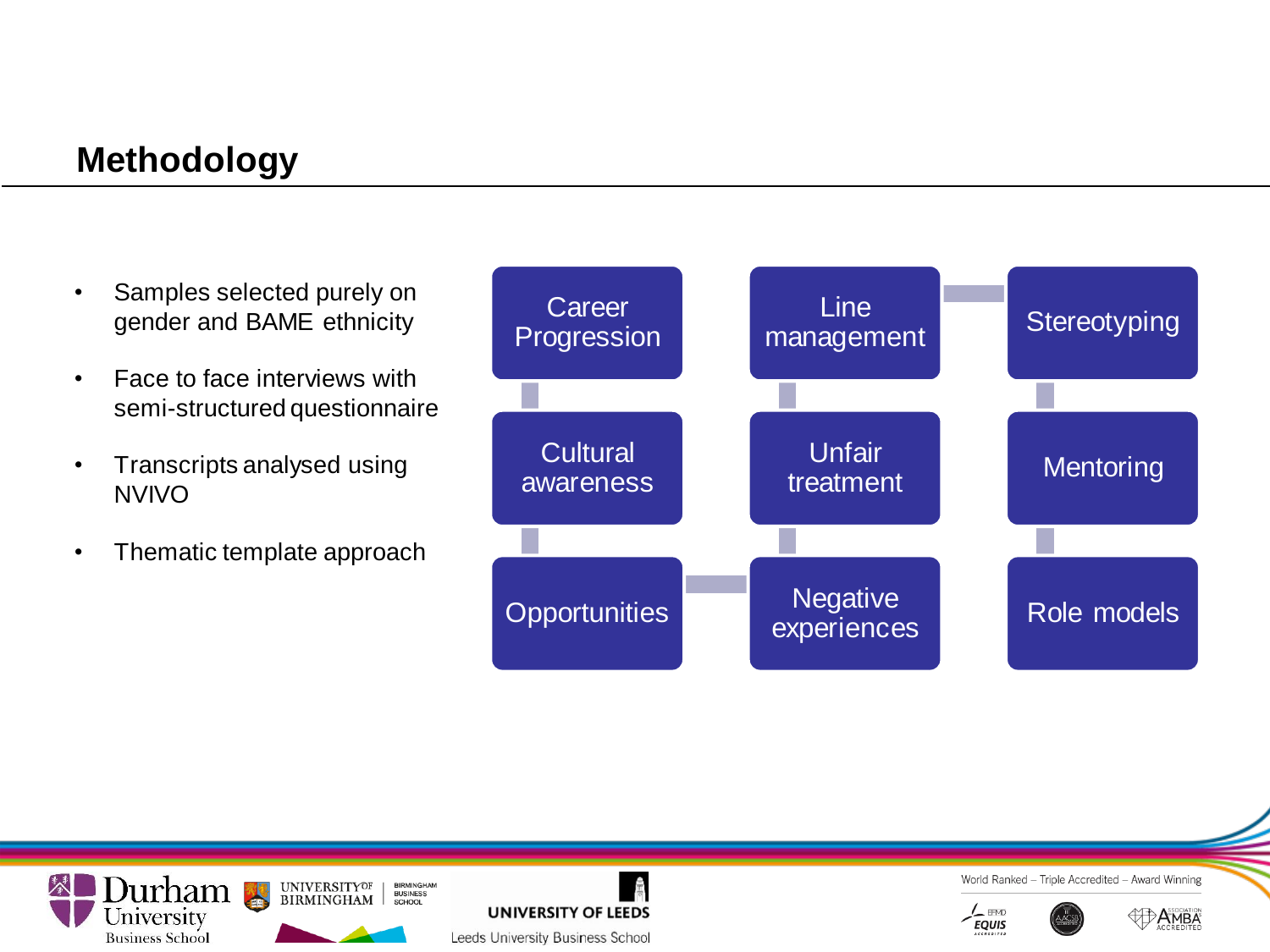#### **Methodology**

- Samples selected purely on gender and BAME ethnicity
- Face to face interviews with semi-structured questionnaire
- Transcripts analysed using NVIVO
- Thematic template approach











**MBA**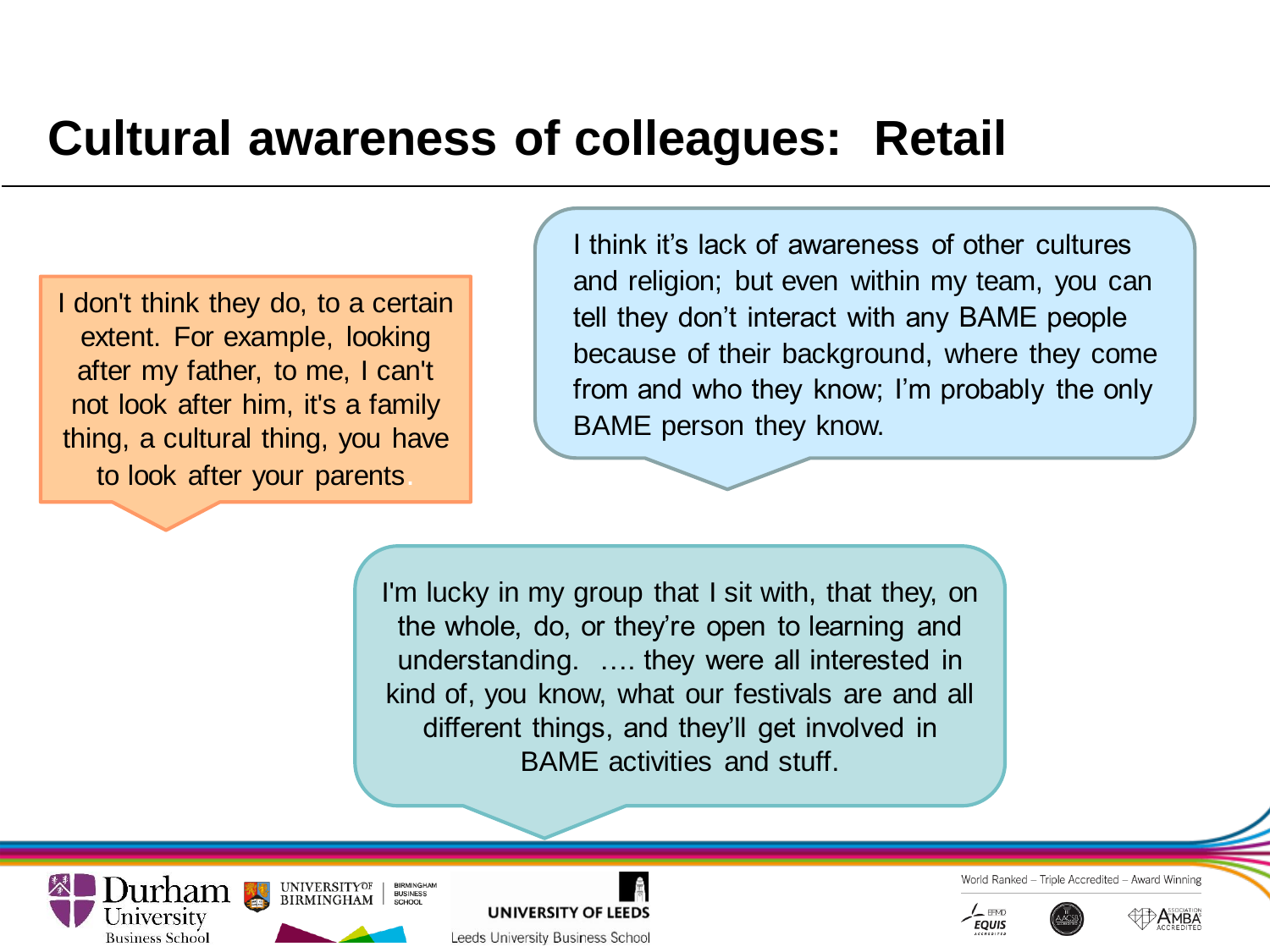### **Cultural awareness of colleagues: Retail**

I don't think they do, to a certain extent. For example, looking after my father, to me, I can't not look after him, it's a family thing, a cultural thing, you have to look after your parents.

I think it's lack of awareness of other cultures and religion; but even within my team, you can tell they don't interact with any BAME people because of their background, where they come from and who they know; I'm probably the only BAME person they know.

I'm lucky in my group that I sit with, that they, on the whole, do, or they're open to learning and understanding. …. they were all interested in kind of, you know, what our festivals are and all different things, and they'll get involved in BAME activities and stuff.

**UNIVERSITYOF LUITICITI SEPTE BIRMINGHAM Business School** 





Leeds University Business School

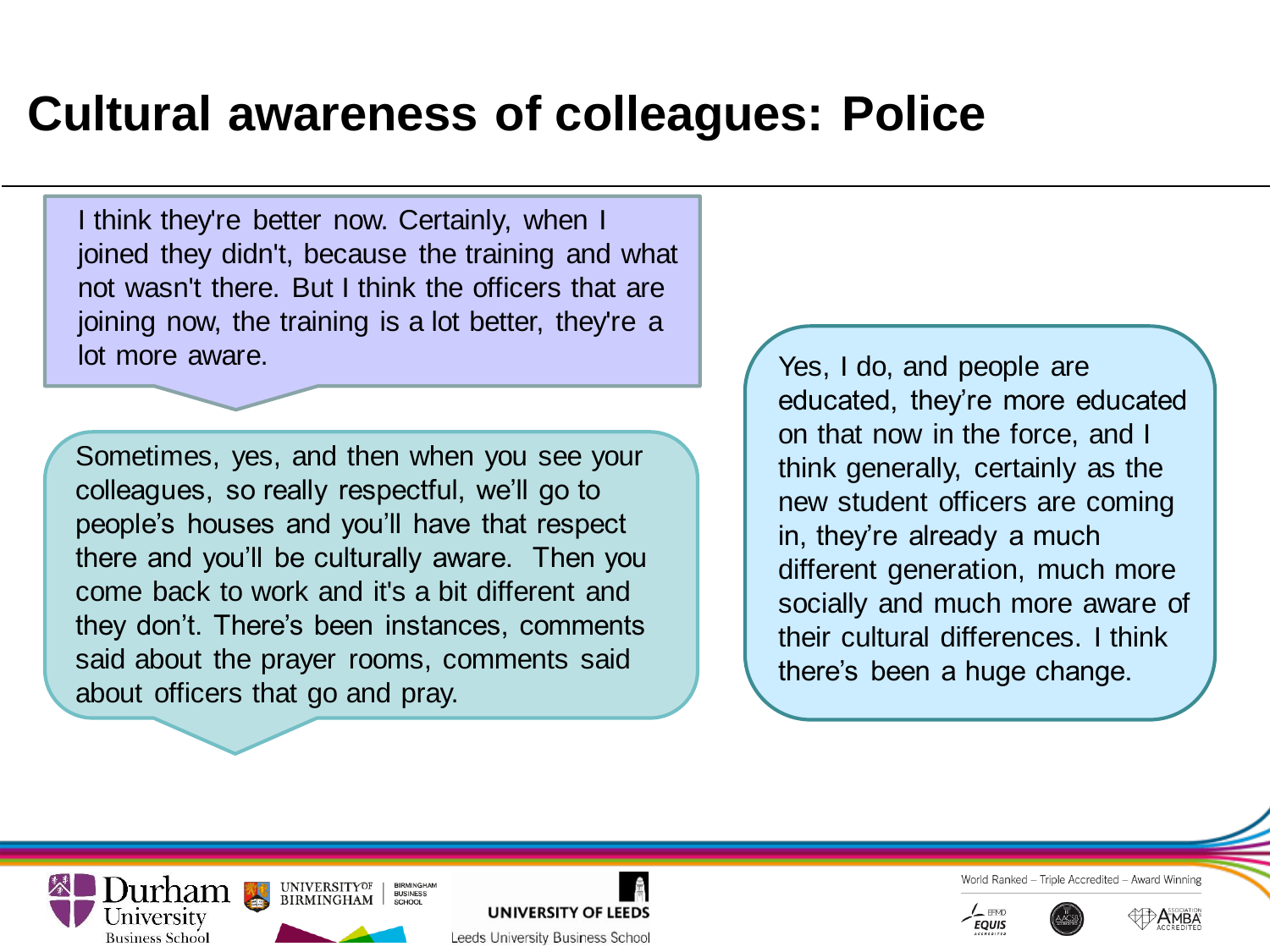## **Cultural awareness of colleagues: Police**

I think they're better now. Certainly, when I joined they didn't, because the training and what not wasn't there. But I think the officers that are joining now, the training is a lot better, they're a lot more aware.

Sometimes, yes, and then when you see your colleagues, so really respectful, we'll go to people's houses and you'll have that respect there and you'll be culturally aware. Then you come back to work and it's a bit different and they don't. There's been instances, comments said about the prayer rooms, comments said about officers that go and pray.

**LEEDS AND SUBINESS BIRMINGHAM** 

**Business School** 

**UNIVERSITYOF** 

**BIRMINGHA**<br>BUSINESS

**UNIVERSITY OF LEEDS** 

Leeds University Business School

Yes, I do, and people are educated, they're more educated on that now in the force, and I think generally, certainly as the new student officers are coming in, they're already a much different generation, much more socially and much more aware of their cultural differences. I think there's been a huge change.



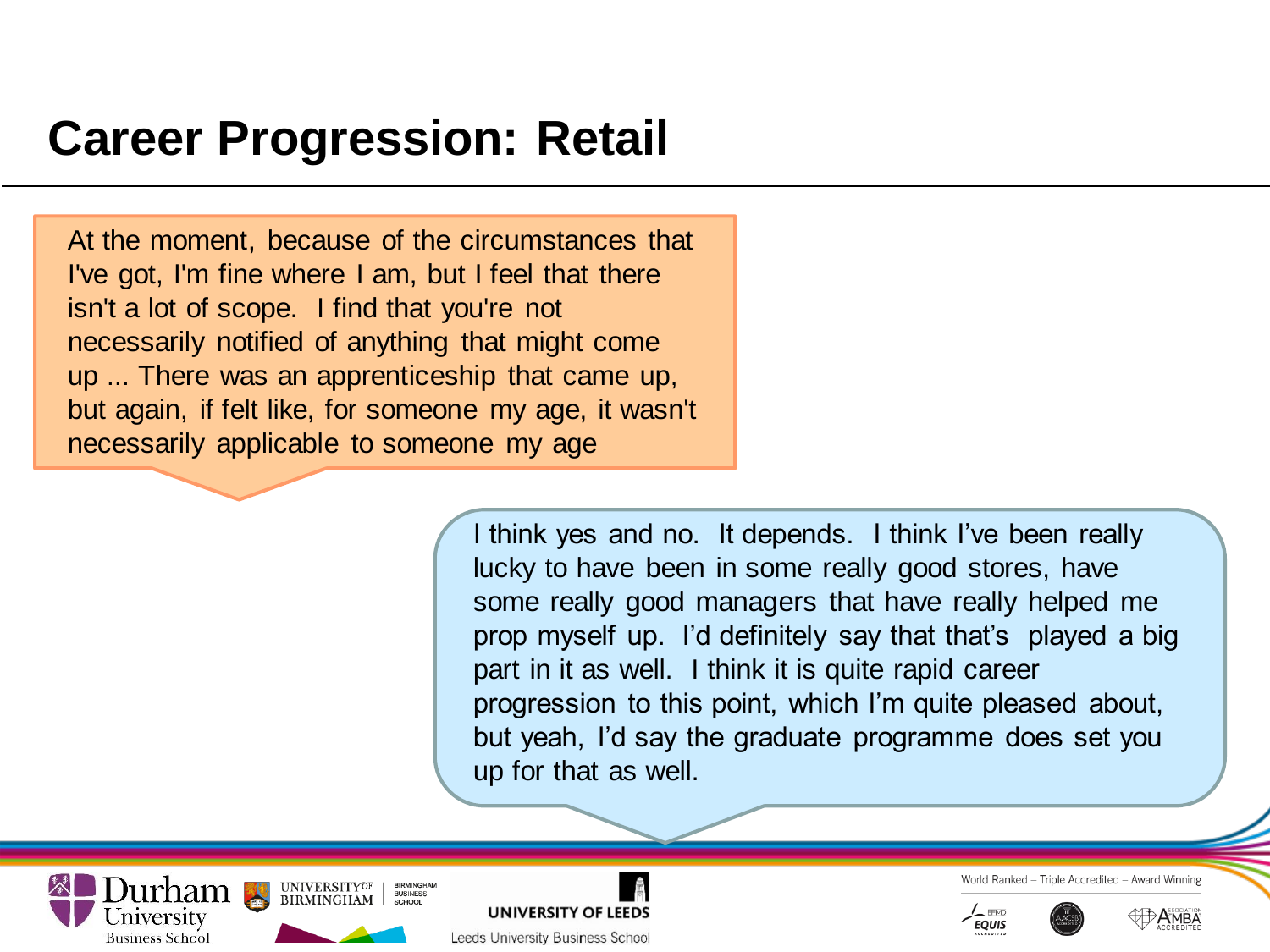### **Career Progression: Retail**

At the moment, because of the circumstances that I've got, I'm fine where I am, but I feel that there isn't a lot of scope. I find that you're not necessarily notified of anything that might come up ... There was an apprenticeship that came up, but again, if felt like, for someone my age, it wasn't necessarily applicable to someone my age

> I think yes and no. It depends. I think I've been really lucky to have been in some really good stores, have some really good managers that have really helped me prop myself up. I'd definitely say that that's played a big part in it as well. I think it is quite rapid career progression to this point, which I'm quite pleased about, but yeah, I'd say the graduate programme does set you up for that as well.





- Triple Accredited - Award Winning World Ranked



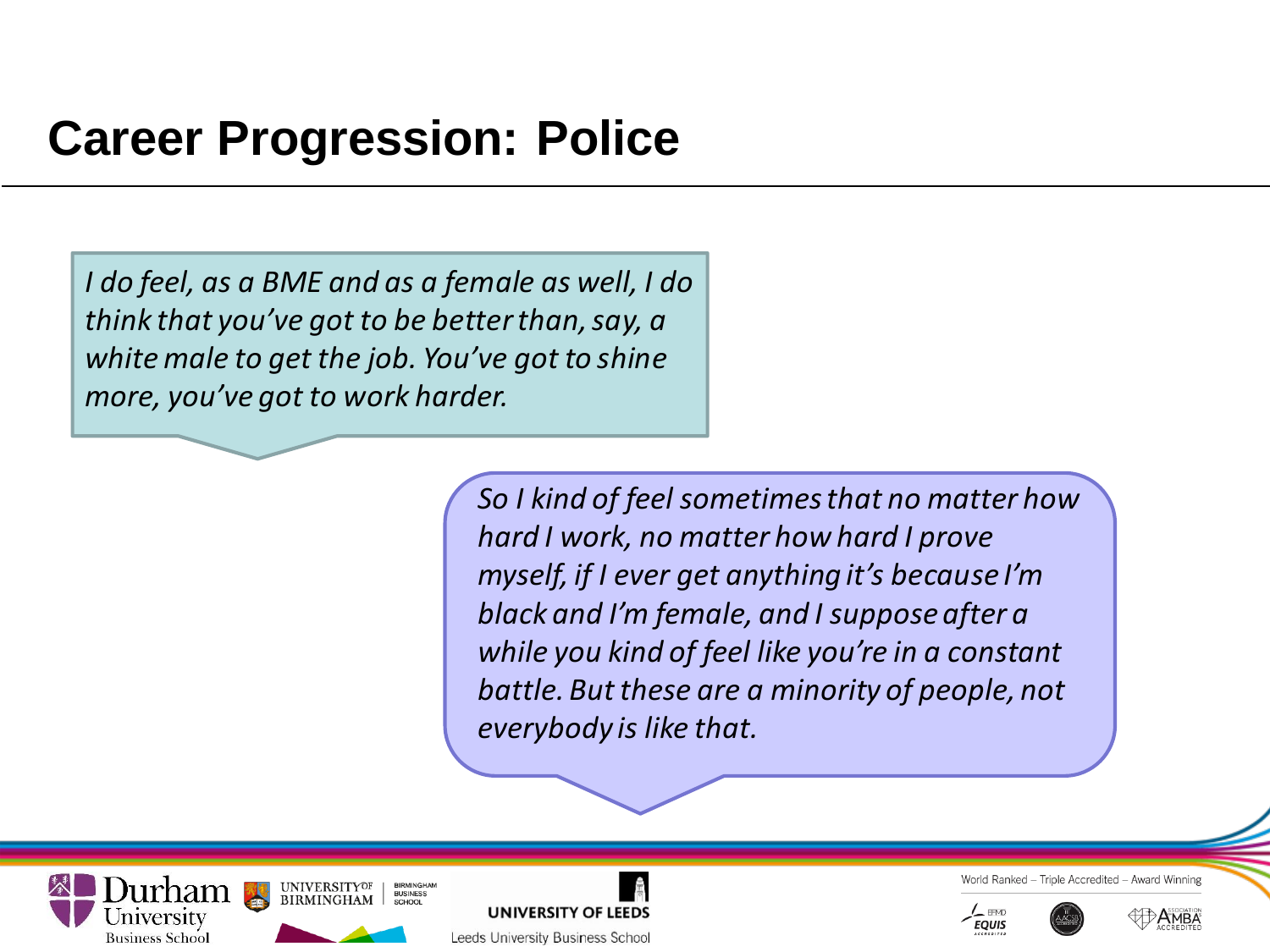### **Career Progression: Police**

*I do feel, as a BME and as a female as well, I do think that you've got to be better than, say, a white male to get the job. You've got to shine more, you've got to work harder.* 

> *So I kind of feel sometimes that no matter how hard I work, no matter how hard I prove myself, if I ever get anything it's because I'm black and I'm female, and I suppose after a while you kind of feel like you're in a constant battle. But these are a minority of people, not everybody is like that.*







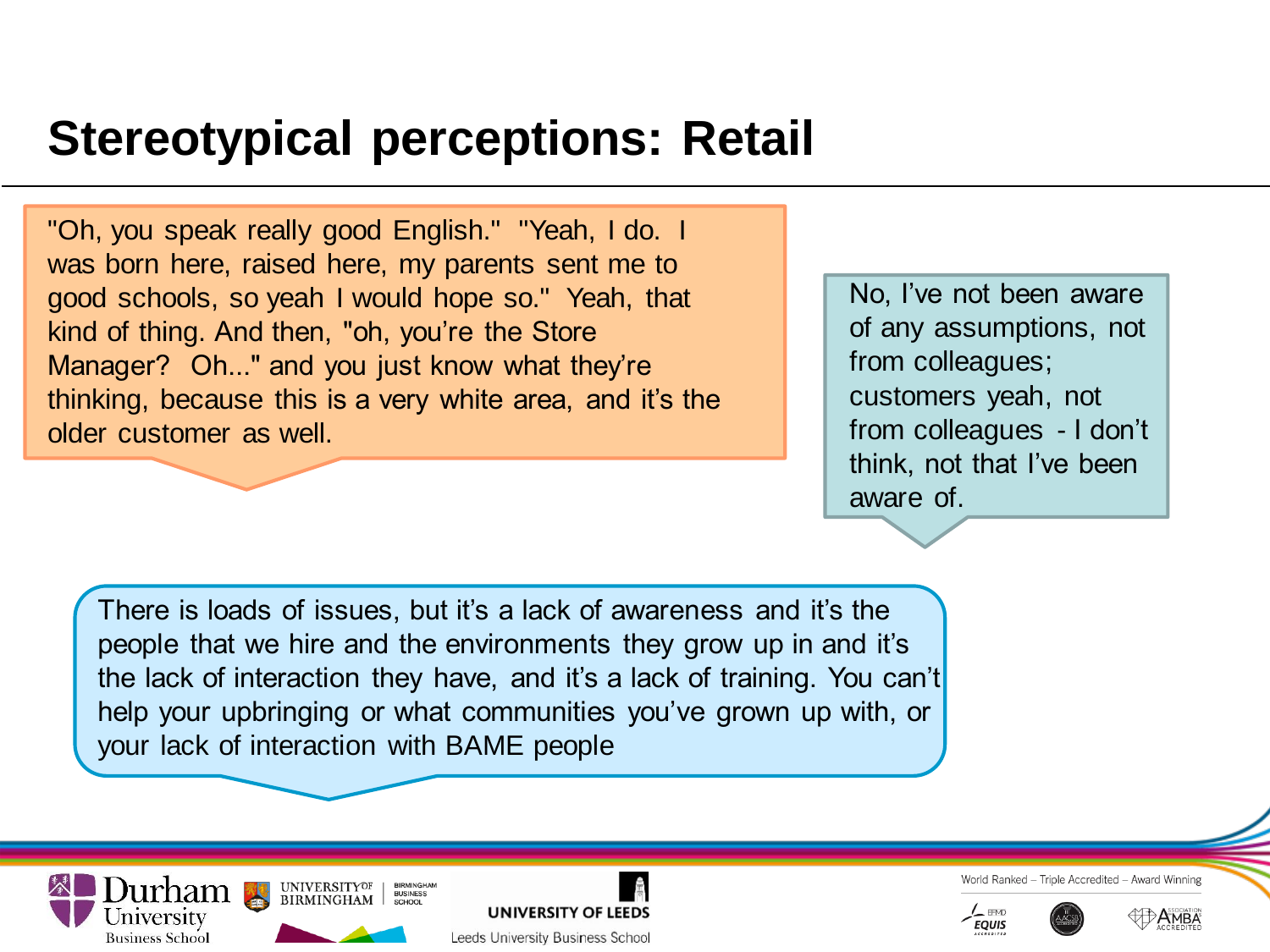## **Stereotypical perceptions: Retail**

"Oh, you speak really good English." "Yeah, I do. I was born here, raised here, my parents sent me to good schools, so yeah I would hope so." Yeah, that kind of thing. And then, "oh, you're the Store Manager? Oh..." and you just know what they're thinking, because this is a very white area, and it's the older customer as well.

No, I've not been aware of any assumptions, not from colleagues; customers yeah, not from colleagues - I don't think, not that I've been aware of.

There is loads of issues, but it's a lack of awareness and it's the people that we hire and the environments they grow up in and it's the lack of interaction they have, and it's a lack of training. You can't help your upbringing or what communities you've grown up with, or your lack of interaction with BAME people





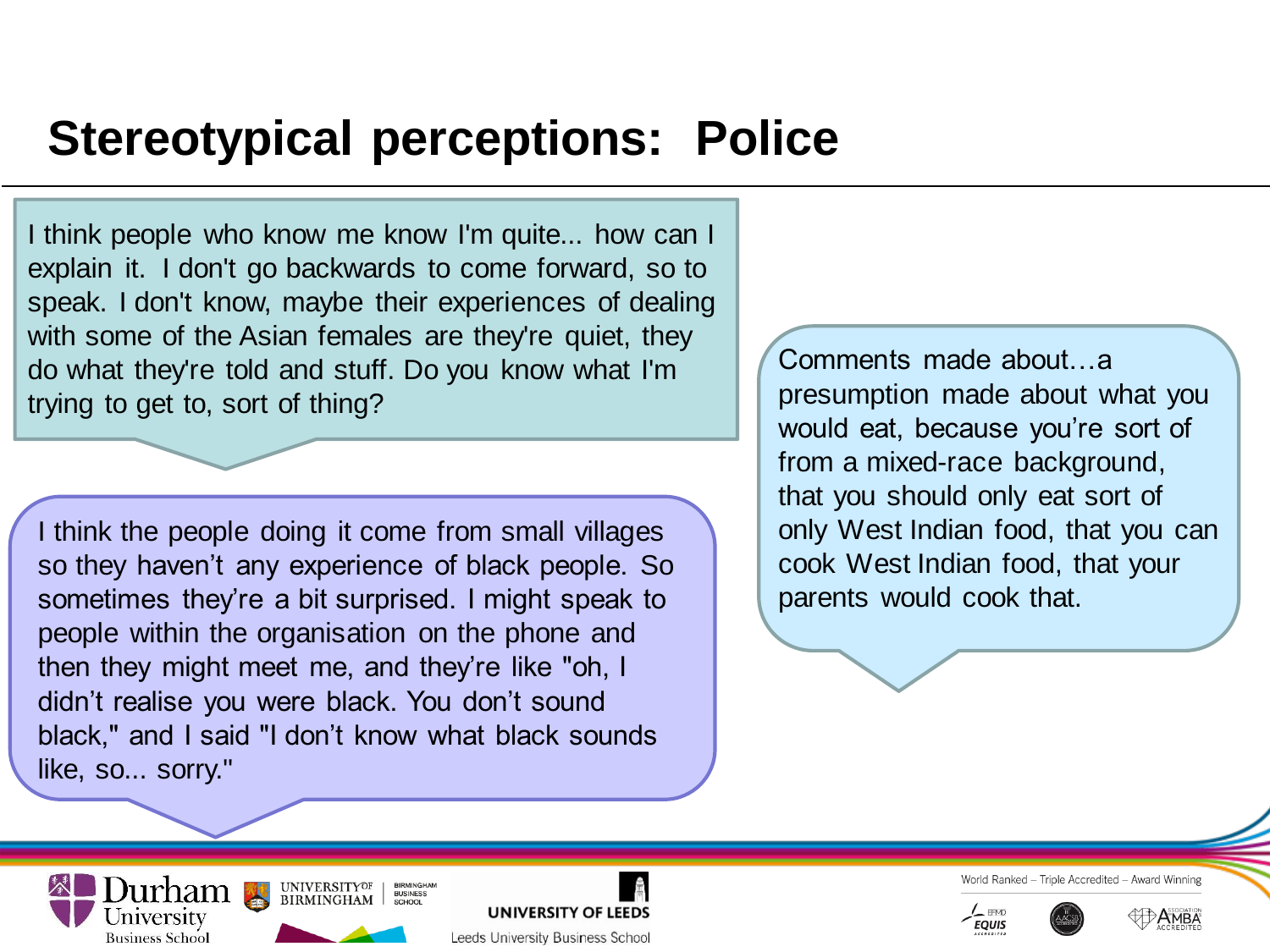### **Stereotypical perceptions: Police**

I think people who know me know I'm quite... how can I explain it. I don't go backwards to come forward, so to speak. I don't know, maybe their experiences of dealing with some of the Asian females are they're quiet, they do what they're told and stuff. Do you know what I'm trying to get to, sort of thing?

I think the people doing it come from small villages so they haven't any experience of black people. So sometimes they're a bit surprised. I might speak to people within the organisation on the phone and then they might meet me, and they're like "oh, I didn't realise you were black. You don't sound black," and I said "I don't know what black sounds like, so... sorry."

**BIRMINGHA**<br>BUSINESS

**UNIVERSITY OF LEEDS** 

Leeds University Business School

**Lurham** Buniversity Business School<br>Triversity

**Business School** 

Comments made about…a presumption made about what you would eat, because you're sort of from a mixed-race background, that you should only eat sort of only West Indian food, that you can cook West Indian food, that your parents would cook that.



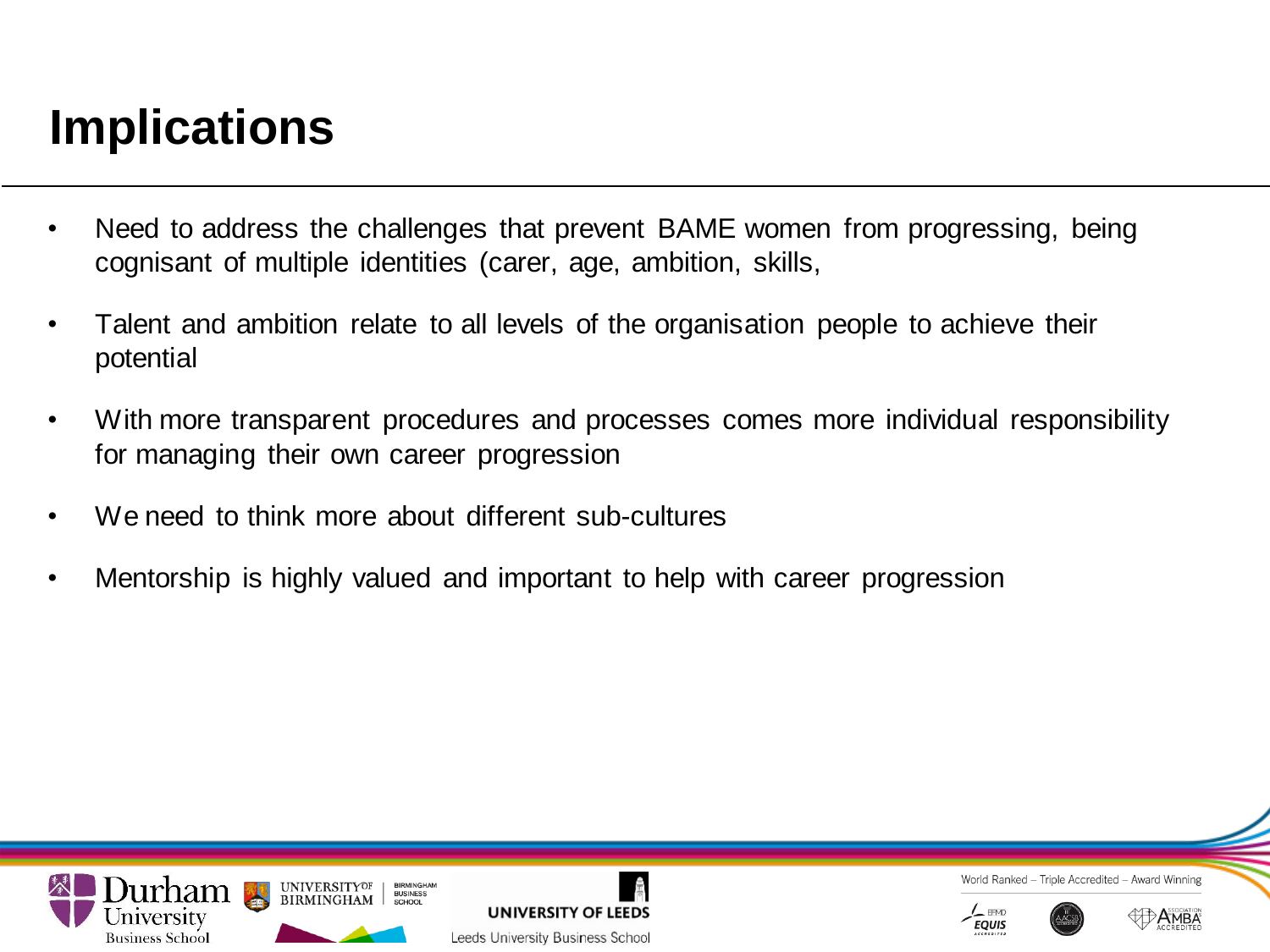# **Implications**

- Need to address the challenges that prevent BAME women from progressing, being cognisant of multiple identities (carer, age, ambition, skills,
- Talent and ambition relate to all levels of the organisation people to achieve their potential
- With more transparent procedures and processes comes more individual responsibility for managing their own career progression
- We need to think more about different sub-cultures
- Mentorship is highly valued and important to help with career progression